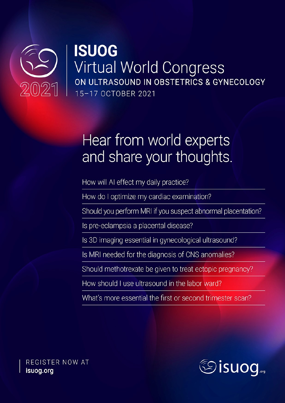

## **ISUOG** Virtual World Congress ON ULTRASOUND IN OBSTETRICS & GYNECOLOGY 15-17 OCTOBER 2021

# Hear from world experts and share your thoughts.

How will AI effect my daily practice?

How do I optimize my cardiac examination?

Should you perform MRI if you suspect abnormal placentation?

Is pre-eclampsia a placental disease?

Is 3D imaging essential in gynecological ultrasound?

Is MRI needed for the diagnosis of CNS anomalies?

Should methotrexate be given to treat ectopic pregnancy?

How should Luse ultrasound in the labor ward?

What's more essential the first or second trimester scan?



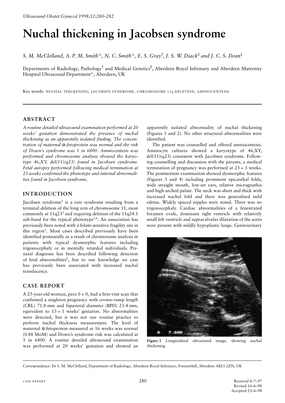## **Nuchal thickening in Jacobsen syndrome**

*S. M. McClelland, A. P. M. Smith\*, N. C. Smith\*, E. S. Gray*† *, J. S. W. Diack*‡ *and J. C. S. Dean*‡

Departments of Radiology, Pathology<sup>†</sup> and Medical Genetics<sup>‡</sup>, Aberdeen Royal Infirmary and Aberdeen Maternity Hospital Ultrasound Department\*, Aberdeen, UK

Key words: NUCHAL THICKENING, JACOBSEN SYNDROME, CHROMOSOME 11q DELETION, AMNIOCENTESIS

#### **ABSTRACT**

*A routine detailed ultrasound examination performed at 20 weeks' gestation demonstrated the presence of nuchal thickening as an apparently isolated finding. The concentration of maternal* α*-fetoprotein was normal and the risk of Down's syndrome was 1 in 6800. Amniocentesis was performed and chromosome analysis showed the karyotype 46,XY, del(11)(q23) found in Jacobsen syndrome. Fetal autopsy performed following medical termination at 23 weeks confirmed the phenotype and internal abnormalities found in Jacobsen syndrome.*

### **INTRODUCTION**

Jacobsen syndrome<sup>1</sup> is a rare syndrome resulting from a terminal deletion of the long arm of chromosome 11, most commonly at  $11q23<sup>2</sup>$  and requiring deletion of the  $11q24.1$ sub-band for the typical phenotype<sup>3,4</sup>. An association has previously been noted with a folate-sensitive fragility site in this region<sup>5</sup>. Most cases described previously have been identified postnatally as a result of chromosome analysis in patients with typical dysmorphic features including trigonocephaly or in mentally retarded individuals. Prenatal diagnosis has been described following detection of fetal abnormalities<sup>6</sup>, but to our knowledge no case has previously been associated with increased nuchal translucency.

#### **CASE REPORT**

A 25-year-old woman, para 0 + 0, had a first-visit scan that confirmed a singleton pregnancy with crown–rump length (CRL) 71.8 mm and biparietal diameter (BPD) 23.4 mm, equivalent to  $13 + 1$  weeks' gestation. No abnormalities were detected, but it was not our routine practice to perform nuchal thickness measurement. The level of maternal α-fetoprotein measured at 16 weeks was normal (0.88 MoM) and Down's syndrome risk was calculated at 1 in 6800. A routine detailed ultrasound examination was performed at 20 weeks' gestation and showed an apparently isolated abnormality of nuchal thickening (Figures 1 and 2). No other structural abnormalities were identified.

The patient was counselled and offered amniocentesis. Amniocyte cultures showed a karyotype of 46,XY, del(11)(q23) consistent with Jacobsen syndrome. Following counselling and discussion with the parents, a medical termination of pregnancy was performed at 23 + 3 weeks. The postmortem examination showed dysmorphic features (Figures 3 and 4) including prominent epicanthal folds, wide straight mouth, low-set ears, relative micrognathia and high-arched palate. The neck was short and thick with increased nuchal fold and there was generalized mild edema. Widely spaced nipples were noted. There was no trigonocephaly. Cardiac abnormalities of a fenestrated foramen ovale, dominant right ventricle with relatively small left ventricle and supravalvular dilatation of the aorta were present with mildly hypoplastic lungs. Genitourinary



**Figure 1** Longitudinal ultrasound image, showing nuchal thickening

Correspondence: Dr S. M. McClelland, Department of Radiology, Aberdeen Royal Infirmary, Foresterhill, Aberdeen AB25 2ZN, UK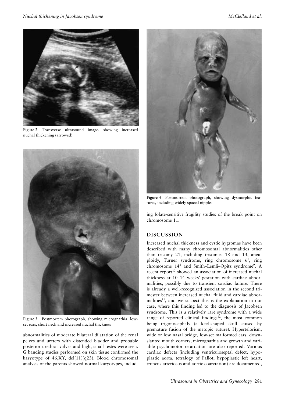

**Figure 2** Transverse ultrasound image, showing increased nuchal thickening (arrowed)



**Figure 3** Postmortem photograph, showing micrognathia, lowset ears, short neck and increased nuchal thickness

abnormalities of moderate bilateral dilatation of the renal pelves and ureters with distended bladder and probable posterior urethral valves and high, small testes were seen. G banding studies performed on skin tissue confirmed the karyotype of 46,XY, del(11)(q23). Blood chromosomal analysis of the parents showed normal karyotypes, includ-



**Figure 4** Postmortem photograph, showing dysmorphic features, including widely spaced nipples

ing folate-sensitive fragility studies of the break point on chromosome 11.

#### **DISCUSSION**

Increased nuchal thickness and cystic hygromas have been described with many chromosomal abnormalities other than trisomy 21, including trisomies 18 and 13, aneuploidy, Turner syndrome, ring chromosome 6<sup>7</sup>, ring chromosome 14<sup>8</sup> and Smith–Lemli–Opitz syndrome<sup>9</sup>. A recent report<sup>10</sup> showed an association of increased nuchal thickness at 10–14 weeks' gestation with cardiac abnormalities, possibly due to transient cardiac failure. There is already a well-recognized association in the second trimester between increased nuchal fluid and cardiac abnormalities<sup>11</sup>, and we suspect this is the explanation in our case, where this finding led to the diagnosis of Jacobsen syndrome. This is a relatively rare syndrome with a wide range of reported clinical findings<sup>12</sup>, the most common being trigonocephaly (a keel-shaped skull caused by premature fusion of the metopic suture). Hypertelorism, wide or low nasal bridge, low-set malformed ears, downslanted mouth corners, micrognathia and growth and variable psychomotor retardation are also reported. Various cardiac defects (including ventriculoseptal defect, hypoplastic aorta, tetralogy of Fallot, hypoplastic left heart, truncus arteriosus and aortic coarctation) are documented,